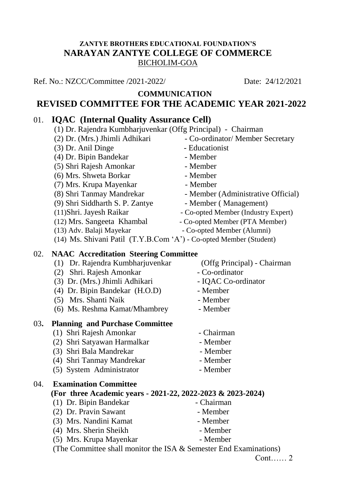### **ZANTYE BROTHERS EDUCATIONAL FOUNDATION'S NARAYAN ZANTYE COLLEGE OF COMMERCE** BICHOLIM-GOA

Ref. No.: NZCC/Committee /2021-2022/ Date: 24/12/2021

#### **COMMUNICATION REVISED COMMITTEE FOR THE ACADEMIC YEAR 2021-2022**

# 01. **IQAC (Internal Quality Assurance Cell)**

|  | (1) Dr. Rajendra Kumbharjuvenkar (Offg Principal) - Chairman |  |  |
|--|--------------------------------------------------------------|--|--|
|--|--------------------------------------------------------------|--|--|

- (2) Dr. (Mrs.) Jhimli Adhikari Co-ordinator/ Member Secretary
- (3) Dr. Anil Dinge Educationist
- (4) Dr. Bipin Bandekar Member
- (5) Shri Rajesh Amonkar Member
- (6) Mrs. Shweta Borkar Member
- (7) Mrs. Krupa Mayenkar Member
- 
- (9) Shri Siddharth S. P. Zantye Member (Management)
- 
- 
- 
- 
- 
- 
- 
- 
- (8) Shri Tanmay Mandrekar Member (Administrative Official)
	-
- (11)Shri. Jayesh Raikar Co-opted Member (Industry Expert)
- (12) Mrs. Sangeeta Khambal Co-opted Member (PTA Member)
- (13) Adv. Balaji Mayekar Co-opted Member (Alumni)
- (14) Ms. Shivani Patil (T.Y.B.Com 'A') Co-opted Member (Student)

## 02. **NAAC Accreditation Steering Committee**

- (1) Dr. Rajendra Kumbharjuvenkar (Offg Principal) Chairman
- (2) Shri. Rajesh Amonkar Co-ordinator
- (3) Dr. (Mrs.) Jhimli Adhikari IQAC Co-ordinator
- (4) Dr. Bipin Bandekar (H.O.D) Member
- (5) Mrs. Shanti Naik Member

(6) Ms. Reshma Kamat/Mhambrey - Member

#### 03**. Planning and Purchase Committee**

- (1) Shri Rajesh Amonkar Chairman
- (2) Shri Satyawan Harmalkar Member
- (3) Shri Bala Mandrekar Member
- (4) Shri Tanmay Mandrekar Member
- (5) System Administrator Member

04. **Examination Committee**

## **(For three Academic years - 2021-22, 2022-2023 & 2023-2024)**

- (1) Dr. Bipin Bandekar Chairman
- (2) Dr. Pravin Sawant Member
- (3) Mrs. Nandini Kamat Member
- (4) Mrs. Sherin Sheikh Member
- (5) Mrs. Krupa Mayenkar Member

(The Committee shall monitor the ISA & Semester End Examinations)

Cont…… 2

- 
- 
- 
- 
- 
- 
- 
- 
- 
- 
-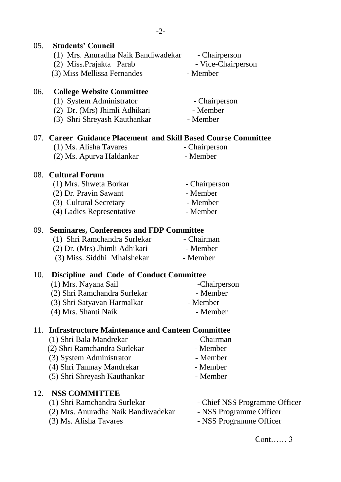| 05. | <b>Students' Council</b>                                       |                               |
|-----|----------------------------------------------------------------|-------------------------------|
|     | (1) Mrs. Anuradha Naik Bandiwadekar                            | - Chairperson                 |
|     | (2) Miss.Prajakta Parab                                        | - Vice-Chairperson            |
|     | (3) Miss Mellissa Fernandes                                    | - Member                      |
| 06. | <b>College Website Committee</b>                               |                               |
|     | (1) System Administrator                                       | - Chairperson                 |
|     | (2) Dr. (Mrs) Jhimli Adhikari                                  | - Member                      |
|     | (3) Shri Shreyash Kauthankar                                   | - Member                      |
|     | 07. Career Guidance Placement and Skill Based Course Committee |                               |
|     | (1) Ms. Alisha Tavares                                         | - Chairperson                 |
|     | (2) Ms. Apurva Haldankar                                       | - Member                      |
|     | 08. Cultural Forum                                             |                               |
|     | (1) Mrs. Shweta Borkar                                         | - Chairperson                 |
|     | (2) Dr. Pravin Sawant                                          | - Member                      |
|     | (3) Cultural Secretary                                         | - Member                      |
|     | (4) Ladies Representative                                      | - Member                      |
| 09. | <b>Seminares, Conferences and FDP Committee</b>                |                               |
|     | (1) Shri Ramchandra Surlekar                                   | - Chairman                    |
|     | (2) Dr. (Mrs) Jhimli Adhikari                                  | - Member                      |
|     | (3) Miss. Siddhi Mhalshekar                                    | - Member                      |
| 10. | <b>Discipline and Code of Conduct Committee</b>                |                               |
|     | (1) Mrs. Nayana Sail                                           | -Chairperson                  |
|     | (2) Shri Ramchandra Surlekar                                   | - Member                      |
|     | (3) Shri Satyavan Harmalkar                                    | - Member                      |
|     | (4) Mrs. Shanti Naik                                           | - Member                      |
| 11. | <b>Infrastructure Maintenance and Canteen Committee</b>        |                               |
|     | (1) Shri Bala Mandrekar                                        | - Chairman                    |
|     | (2) Shri Ramchandra Surlekar                                   | - Member                      |
|     | (3) System Administrator                                       | - Member                      |
|     | (4) Shri Tanmay Mandrekar                                      | - Member                      |
|     | (5) Shri Shreyash Kauthankar                                   | - Member                      |
| 12. | <b>NSS COMMITTEE</b>                                           |                               |
|     | (1) Shri Ramchandra Surlekar                                   | - Chief NSS Programme Officer |
|     | (2) Mrs. Anuradha Naik Bandiwadekar                            | - NSS Programme Officer       |
|     | (3) Ms. Alisha Tavares                                         | - NSS Programme Officer       |
|     |                                                                | Cont $\ldots$ . 3             |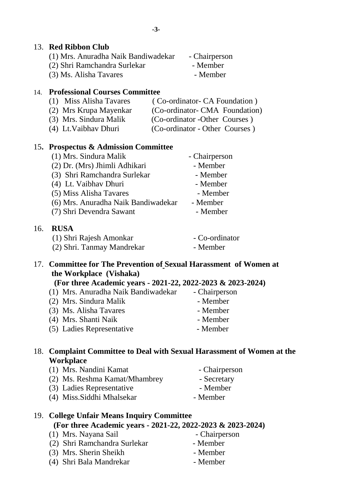#### 13. **Red Ribbon Club**

| (1) Mrs. Anuradha Naik Bandiwadekar | - Chairperson |
|-------------------------------------|---------------|
| (2) Shri Ramchandra Surlekar        | - Member      |
| (3) Ms. Alisha Tavares              | - Member      |

#### 14. **Professional Courses Committee**

- (1) Miss Alisha Tavares ( Co-ordinator- CA Foundation )
- (2) Mrs Krupa Mayenkar (Co-ordinator- CMA Foundation)
- (3) Mrs. Sindura Malik (Co-ordinator -Other Courses ) (4) Lt.Vaibhav Dhuri (Co-ordinator - Other Courses )

## 15**. Prospectus & Admission Committee**

| (1) Mrs. Sindura Malik              | - Chairperson |
|-------------------------------------|---------------|
| (2) Dr. (Mrs) Jhimli Adhikari       | - Member      |
| (3) Shri Ramchandra Surlekar        | - Member      |
| (4) Lt. Vaibhav Dhuri               | - Member      |
| (5) Miss Alisha Tavares             | - Member      |
| (6) Mrs. Anuradha Naik Bandiwadekar | - Member      |
| (7) Shri Devendra Sawant            | - Member      |
|                                     |               |

### 16. **RUSA**

| (1) Shri Rajesh Amonkar    | - Co-ordinator |
|----------------------------|----------------|
| (2) Shri. Tanmay Mandrekar | - Member       |

### 17. **Committee for The Prevention of Sexual Harassment of Women at the Workplace (Vishaka)**

# **(For three Academic years - 2021-22, 2022-2023 & 2023-2024)**

(1) Mrs. Anuradha Naik Bandiwadekar - Chairperson (2) Mrs. Sindura Malik - Member (3) Ms. Alisha Tavares - Member (4) Mrs. Shanti Naik - Member (5) Ladies Representative - Member

## 18. **Complaint Committee to Deal with Sexual Harassment of Women at the Workplace**

- (1) Mrs. Nandini Kamat Chairperson
- (2) Ms. Reshma Kamat/Mhambrey Secretary
- (3) Ladies Representative Member
- (4) Miss. Siddhi Mhalsekar Member

| 19. College Unfair Means Inquiry Committee                  |  |
|-------------------------------------------------------------|--|
| (For three Academic years - 2021-22, 2022-2023 & 2023-2024) |  |

- (1) Mrs. Nayana Sail Chairperson
- (2) Shri Ramchandra Surlekar Member
- (3) Mrs. Sherin Sheikh Member
- (4) Shri Bala Mandrekar Member
- 
- 
- 
- 
- 
- 
- 
- 
-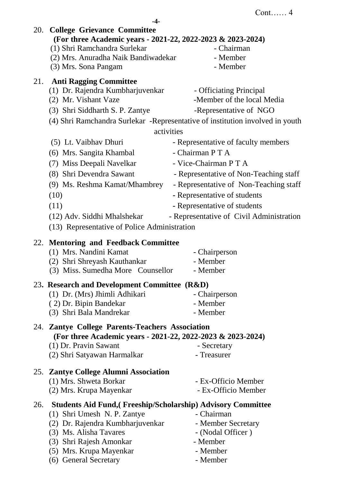**-4-**

|     | 20. College Grievance Committee<br>(For three Academic years - 2021-22, 2022-2023 & 2023-2024) |                                                                                |  |
|-----|------------------------------------------------------------------------------------------------|--------------------------------------------------------------------------------|--|
|     | (1) Shri Ramchandra Surlekar                                                                   | - Chairman                                                                     |  |
|     | (2) Mrs. Anuradha Naik Bandiwadekar                                                            | - Member                                                                       |  |
|     | (3) Mrs. Sona Pangam                                                                           | - Member                                                                       |  |
| 21. | <b>Anti Ragging Committee</b>                                                                  |                                                                                |  |
|     | (1) Dr. Rajendra Kumbharjuvenkar                                                               | - Officiating Principal                                                        |  |
|     | (2) Mr. Vishant Vaze                                                                           | -Member of the local Media                                                     |  |
|     | (3) Shri Siddharth S. P. Zantye                                                                | -Representative of NGO                                                         |  |
|     |                                                                                                | (4) Shri Ramchandra Surlekar - Representative of institution involved in youth |  |
|     | activities                                                                                     |                                                                                |  |
|     | (5) Lt. Vaibhav Dhuri                                                                          | - Representative of faculty members                                            |  |
|     | (6) Mrs. Sangita Khambal                                                                       | - Chairman P T A                                                               |  |
|     | (7) Miss Deepali Navelkar                                                                      | - Vice-Chairman PTA                                                            |  |
|     | (8) Shri Devendra Sawant                                                                       | - Representative of Non-Teaching staff                                         |  |
|     | (9) Ms. Reshma Kamat/Mhambrey                                                                  | - Representative of Non-Teaching staff                                         |  |
|     | (10)                                                                                           | - Representative of students                                                   |  |
|     | (11)                                                                                           | - Representative of students                                                   |  |
|     | (12) Adv. Siddhi Mhalshekar                                                                    | - Representative of Civil Administration                                       |  |
|     | (13) Representative of Police Administration                                                   |                                                                                |  |
|     | 22. Mentoring and Feedback Committee                                                           |                                                                                |  |
|     | (1) Mrs. Nandini Kamat                                                                         | - Chairperson                                                                  |  |
|     | (2) Shri Shreyash Kauthankar                                                                   | - Member                                                                       |  |
|     | (3) Miss. Sumedha More Counsellor                                                              | - Member                                                                       |  |
|     | 23. Research and Development Committee (R&D)                                                   |                                                                                |  |
|     | (1) Dr. (Mrs) Jhimli Adhikari                                                                  | - Chairperson                                                                  |  |
|     | (2) Dr. Bipin Bandekar                                                                         | - Member                                                                       |  |
|     | (3) Shri Bala Mandrekar                                                                        | - Member                                                                       |  |
|     | 24. Zantye College Parents-Teachers Association                                                |                                                                                |  |
|     | (For three Academic years - 2021-22, 2022-2023 & 2023-2024)                                    |                                                                                |  |
|     | (1) Dr. Pravin Sawant                                                                          | - Secretary                                                                    |  |
|     | (2) Shri Satyawan Harmalkar                                                                    | - Treasurer                                                                    |  |
|     | 25. Zantye College Alumni Association                                                          |                                                                                |  |
|     | (1) Mrs. Shweta Borkar                                                                         | - Ex-Officio Member                                                            |  |
|     | (2) Mrs. Krupa Mayenkar                                                                        | - Ex-Officio Member                                                            |  |
| 26. | <b>Students Aid Fund, (Freeship/Scholarship) Advisory Committee</b>                            |                                                                                |  |
|     | (1) Shri Umesh N. P. Zantye                                                                    | - Chairman                                                                     |  |
|     | (2) Dr. Rajendra Kumbharjuvenkar                                                               | - Member Secretary                                                             |  |
|     | (3) Ms. Alisha Tavares                                                                         | - (Nodal Officer)                                                              |  |
|     | (3) Shri Rajesh Amonkar                                                                        | - Member                                                                       |  |
|     | (5) Mrs. Krupa Mayenkar                                                                        | - Member                                                                       |  |
|     | (6) General Secretary                                                                          | - Member                                                                       |  |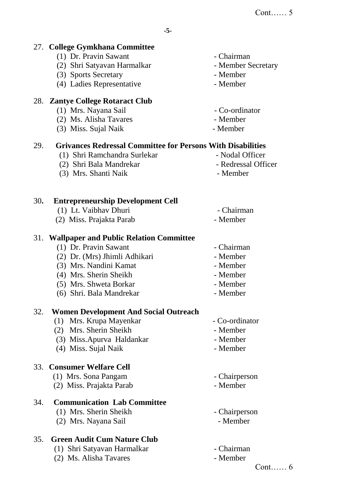|     | 27. College Gymkhana Committee                                     |                     |
|-----|--------------------------------------------------------------------|---------------------|
|     | (1) Dr. Pravin Sawant                                              | - Chairman          |
|     | (2) Shri Satyavan Harmalkar                                        | - Member Secretary  |
|     | (3) Sports Secretary                                               | - Member            |
|     | (4) Ladies Representative                                          | - Member            |
|     | 28. Zantye College Rotaract Club                                   |                     |
|     | (1) Mrs. Nayana Sail                                               | - Co-ordinator      |
|     | (2) Ms. Alisha Tavares                                             | - Member            |
|     | (3) Miss. Sujal Naik                                               | - Member            |
| 29. | <b>Grivances Redressal Committee for Persons With Disabilities</b> |                     |
|     | (1) Shri Ramchandra Surlekar                                       | - Nodal Officer     |
|     | (2) Shri Bala Mandrekar                                            | - Redressal Officer |
|     | (3) Mrs. Shanti Naik                                               | - Member            |
| 30. | <b>Entrepreneurship Development Cell</b>                           |                     |
|     | (1) Lt. Vaibhav Dhuri                                              | - Chairman          |
|     | (2) Miss. Prajakta Parab                                           | - Member            |
|     |                                                                    |                     |
|     | 31. Wallpaper and Public Relation Committee                        |                     |
|     | (1) Dr. Pravin Sawant                                              | - Chairman          |
|     | (2) Dr. (Mrs) Jhimli Adhikari                                      | - Member            |
|     | (3) Mrs. Nandini Kamat                                             | - Member            |
|     | (4) Mrs. Sherin Sheikh                                             | - Member            |
|     | (5) Mrs. Shweta Borkar                                             | - Member            |
|     | (6) Shri. Bala Mandrekar                                           | - Member            |
| 32. | <b>Women Development And Social Outreach</b>                       |                     |
|     | (1) Mrs. Krupa Mayenkar                                            | - Co-ordinator      |
|     | (2) Mrs. Sherin Sheikh                                             | - Member            |
|     | (3) Miss.Apurva Haldankar                                          | - Member            |
|     | (4) Miss. Sujal Naik                                               | - Member            |
|     | 33. Consumer Welfare Cell                                          |                     |
|     | (1) Mrs. Sona Pangam                                               | - Chairperson       |
|     | (2) Miss. Prajakta Parab                                           | - Member            |
| 34. | <b>Communication Lab Committee</b>                                 |                     |
|     | (1) Mrs. Sherin Sheikh                                             | - Chairperson       |
|     | (2) Mrs. Nayana Sail                                               | - Member            |
| 35. | <b>Green Audit Cum Nature Club</b>                                 |                     |
|     | (1) Shri Satyavan Harmalkar                                        | - Chairman          |
|     | (2) Ms. Alisha Tavares                                             | - Member            |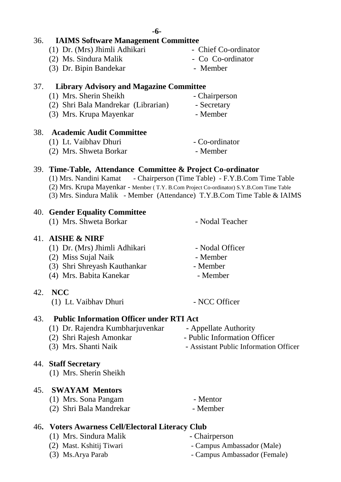#### 36. **IAIMS Software Management Committee**

- (1) Dr. (Mrs) Jhimli Adhikari Chief Co-ordinator
- (2) Ms. Sindura Malik Co Co-ordinator
- (3) Dr. Bipin Bandekar Member

#### 37. **Library Advisory and Magazine Committee**

- (1) Mrs. Sherin Sheikh Chairperson
- (2) Shri Bala Mandrekar (Librarian) Secretary
- (3) Mrs. Krupa Mayenkar Member

#### 38. **Academic Audit Committee**

- (1) Lt. Vaibhav Dhuri Co-ordinator
- (2) Mrs. Shweta Borkar Member

## 39. **Time-Table, Attendance Committee & Project Co-ordinator**

- (1) Mrs. Nandini Kamat Chairperson (Time Table) F.Y.B.Com Time Table
- (2) Mrs. Krupa Mayenkar Member ( T.Y. B.Com Project Co-ordinator) S.Y.B.Com Time Table
- (3) Mrs. Sindura Malik Member (Attendance) T.Y.B.Com Time Table & IAIMS

## 40. **Gender Equality Committee**

(1) Mrs. Shweta Borkar - Nodal Teacher

## 41. **AISHE & NIRF**

- (1) Dr. (Mrs) Jhimli Adhikari Nodal Officer
- (2)Miss Sujal Naik Member
- (3) Shri Shreyash Kauthankar Member
- (4) Mrs. Babita Kanekar Member

## 42. **NCC**

(1) Lt. Vaibhav Dhuri - NCC Officer

# 43. **Public Information Officer under RTI Act**

- (1) Dr. Rajendra Kumbharjuvenkar Appellate Authority
- (2) Shri Rajesh Amonkar Public Information Officer
- (3) Mrs. Shanti Naik Assistant Public Information Officer

## 44. **Staff Secretary**

(1) Mrs. Sherin Sheikh

## 45. **SWAYAM Mentors**

- (1) Mrs. Sona Pangam Mentor
- (2) Shri Bala Mandrekar Member
	-

## 46**. Voters Awarness Cell/Electoral Literacy Club**

- (1) Mrs. Sindura Malik Chairperson
- 
- 
- 
- (2) Mast. Kshitij Tiwari Campus Ambassador (Male)
- (3) Ms.Arya Parab Campus Ambassador (Female)
- -
	-
	-
	- -

- - -
		-
-